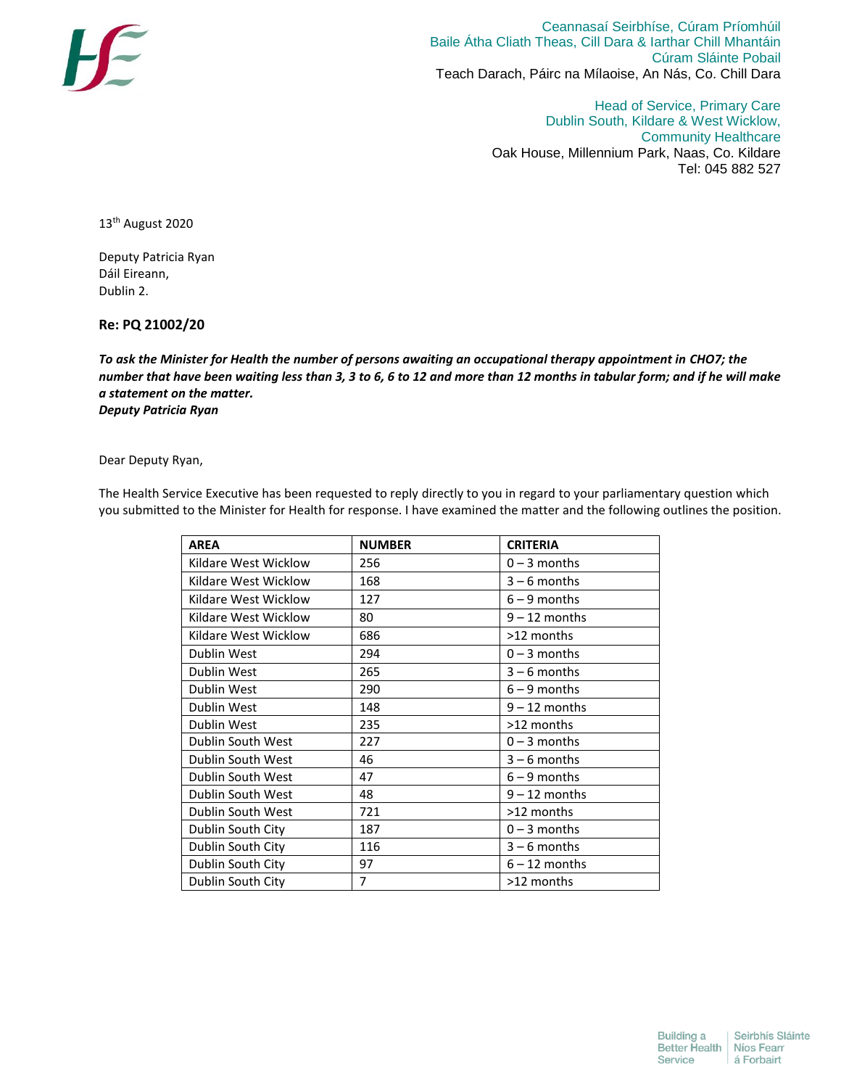

Ceannasaí Seirbhíse, Cúram Príomhúil Baile Átha Cliath Theas, Cill Dara & Iarthar Chill Mhantáin Cúram Sláinte Pobail Teach Darach, Páirc na Mílaoise, An Nás, Co. Chill Dara

> Head of Service, Primary Care Dublin South, Kildare & West Wicklow, Community Healthcare Oak House, Millennium Park, Naas, Co. Kildare Tel: 045 882 527

13th August 2020

Deputy Patricia Ryan Dáil Eireann, Dublin 2.

## **Re: PQ 21002/20**

*To ask the Minister for Health the number of persons awaiting an occupational therapy appointment in CHO7; the number that have been waiting less than 3, 3 to 6, 6 to 12 and more than 12 months in tabular form; and if he will make a statement on the matter. Deputy Patricia Ryan*

Dear Deputy Ryan,

| <b>AREA</b>          | <b>NUMBER</b> | <b>CRITERIA</b> |
|----------------------|---------------|-----------------|
| Kildare West Wicklow | 256           | $0 - 3$ months  |
| Kildare West Wicklow | 168           | $3 - 6$ months  |
| Kildare West Wicklow | 127           | $6 - 9$ months  |
| Kildare West Wicklow | 80            | $9 - 12$ months |
| Kildare West Wicklow | 686           | >12 months      |
| Dublin West          | 294           | $0 - 3$ months  |
| Dublin West          | 265           | $3 - 6$ months  |
| Dublin West          | 290           | $6 - 9$ months  |
| Dublin West          | 148           | $9 - 12$ months |
| Dublin West          | 235           | >12 months      |
| Dublin South West    | 227           | $0 - 3$ months  |
| Dublin South West    | 46            | $3 - 6$ months  |
| Dublin South West    | 47            | $6 - 9$ months  |
| Dublin South West    | 48            | $9 - 12$ months |
| Dublin South West    | 721           | >12 months      |
| Dublin South City    | 187           | $0 - 3$ months  |
| Dublin South City    | 116           | $3 - 6$ months  |
| Dublin South City    | 97            | $6 - 12$ months |
| Dublin South City    | 7             | >12 months      |

The Health Service Executive has been requested to reply directly to you in regard to your parliamentary question which you submitted to the Minister for Health for response. I have examined the matter and the following outlines the position.